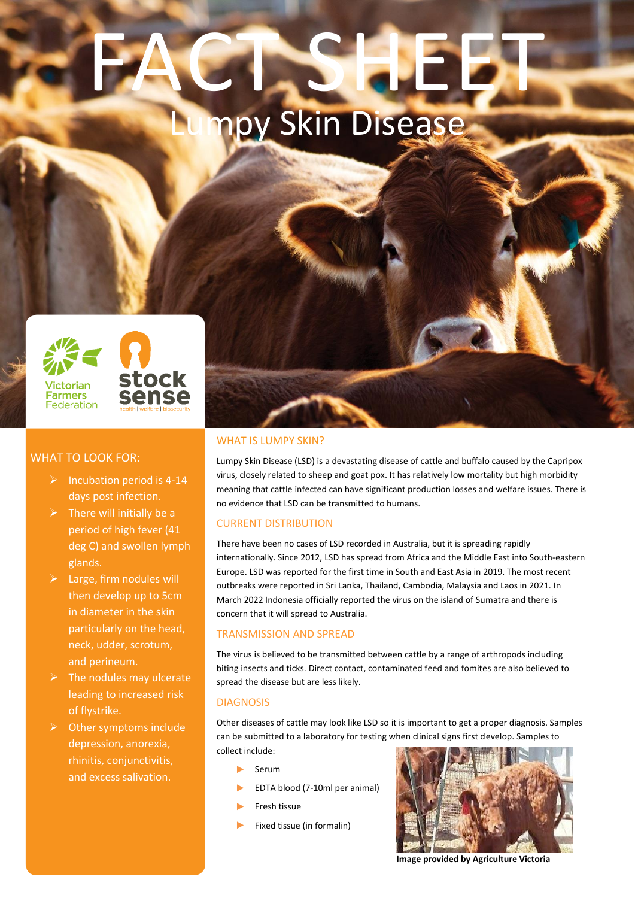# FACT, SHEET npy Skin Disease



# WHAT TO LOOK FOR:

- $\triangleright$  Incubation period is 4-14 days post infection.
- $\triangleright$  There will initially be a period of high fever (41 deg C) and swollen lymph glands.
- $\blacktriangleright$  Large, firm nodules will then develop up to 5cm in diameter in the skin particularly on the head, neck, udder, scrotum, and perineum.
- $\triangleright$  The nodules may ulcerate leading to increased risk of flystrike.
- ➢ Other symptoms include depression, anorexia, rhinitis, conjunctivitis, and excess salivation.

# WHAT IS LUMPY SKIN?

Lumpy Skin Disease (LSD) is a devastating disease of cattle and buffalo caused by the Capripox virus, closely related to sheep and goat pox. It has relatively low mortality but high morbidity meaning that cattle infected can have significant production losses and welfare issues. There is no evidence that LSD can be transmitted to humans.

# CURRENT DISTRIBUTION

There have been no cases of LSD recorded in Australia, but it is spreading rapidly internationally. Since 2012, LSD has spread from Africa and the Middle East into South-eastern Europe. LSD was reported for the first time in South and East Asia in 2019. The most recent outbreaks were reported in Sri Lanka, Thailand, Cambodia, Malaysia and Laos in 2021. In March 2022 Indonesia officially reported the virus on the island of Sumatra and there is concern that it will spread to Australia.

# TRANSMISSION AND SPREAD

The virus is believed to be transmitted between cattle by a range of arthropods including biting insects and ticks. Direct contact, contaminated feed and fomites are also believed to spread the disease but are less likely.

# DIAGNOSIS

Other diseases of cattle may look like LSD so it is important to get a proper diagnosis. Samples can be submitted to a laboratory for testing when clinical signs first develop. Samples to collect include:

- ► Serum
- ► EDTA blood (7-10ml per animal)
- ► Fresh tissue
- ► Fixed tissue (in formalin)



**Image provided by Agriculture Victoria**